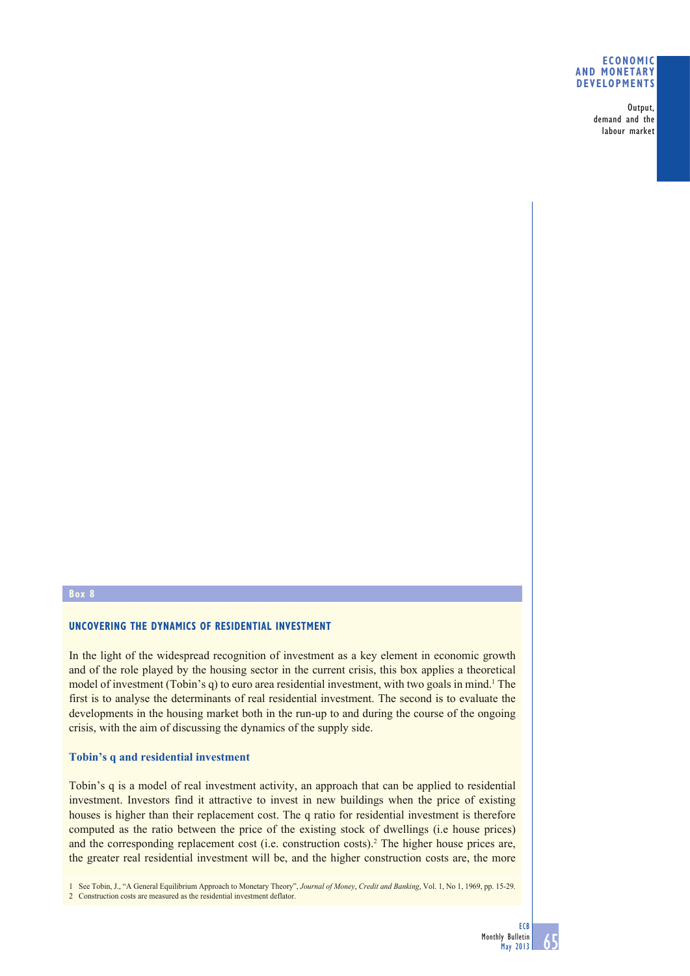#### **ECONOMIC AND MONETARY DEVELOPMENTS**

Output, demand and the labour market

### **Box 8**

### **UNCOVERING THE DYNAMICS OF RESIDENTIAL INVESTMENT**

In the light of the widespread recognition of investment as a key element in economic growth and of the role played by the housing sector in the current crisis, this box applies a theoretical model of investment (Tobin's q) to euro area residential investment, with two goals in mind.<sup>1</sup> The first is to analyse the determinants of real residential investment. The second is to evaluate the developments in the housing market both in the run-up to and during the course of the ongoing crisis, with the aim of discussing the dynamics of the supply side.

### **Tobin's q and residential investment**

Tobin's q is a model of real investment activity, an approach that can be applied to residential investment. Investors find it attractive to invest in new buildings when the price of existing houses is higher than their replacement cost. The q ratio for residential investment is therefore computed as the ratio between the price of the existing stock of dwellings (i.e house prices) and the corresponding replacement cost (i.e. construction costs).2 The higher house prices are, the greater real residential investment will be, and the higher construction costs are, the more

1 See Tobin, J., "A General Equilibrium Approach to Monetary Theory", *Journal of Money*, *Credit and Banking*, Vol. 1, No 1, 1969, pp. 15-29. 2 Construction costs are measured as the residential investment deflator.

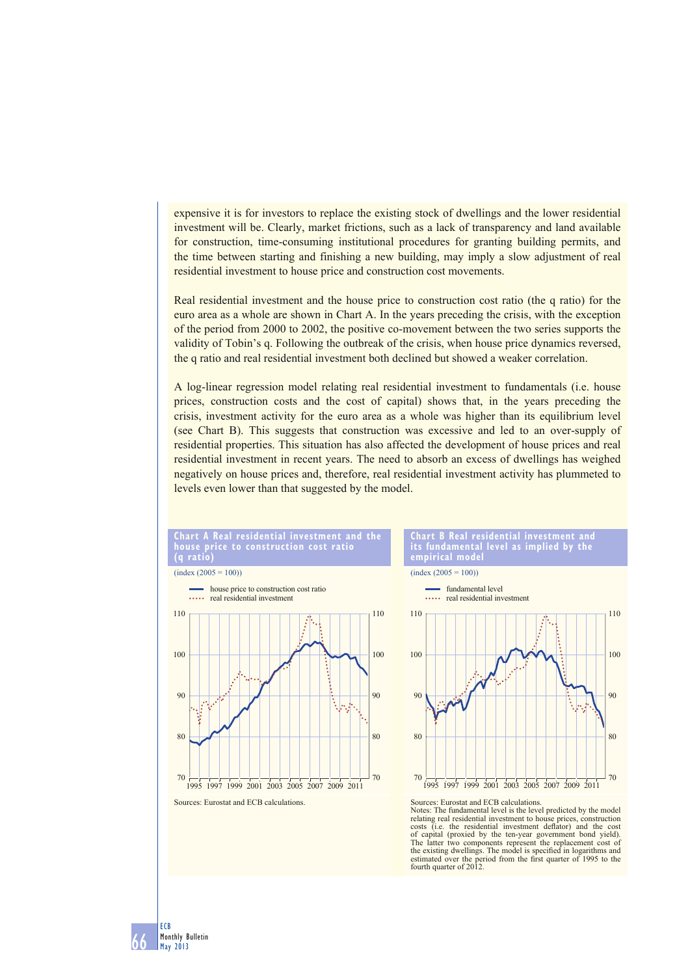expensive it is for investors to replace the existing stock of dwellings and the lower residential investment will be. Clearly, market frictions, such as a lack of transparency and land available for construction, time-consuming institutional procedures for granting building permits, and the time between starting and finishing a new building, may imply a slow adjustment of real residential investment to house price and construction cost movements.

Real residential investment and the house price to construction cost ratio (the q ratio) for the euro area as a whole are shown in Chart A. In the years preceding the crisis, with the exception of the period from 2000 to 2002, the positive co-movement between the two series supports the validity of Tobin's q. Following the outbreak of the crisis, when house price dynamics reversed, the q ratio and real residential investment both declined but showed a weaker correlation.

A log-linear regression model relating real residential investment to fundamentals (i.e. house prices, construction costs and the cost of capital) shows that, in the years preceding the crisis, investment activity for the euro area as a whole was higher than its equilibrium level (see Chart B). This suggests that construction was excessive and led to an over-supply of residential properties. This situation has also affected the development of house prices and real residential investment in recent years. The need to absorb an excess of dwellings has weighed negatively on house prices and, therefore, real residential investment activity has plummeted to levels even lower than that suggested by the model.



66

ECB Monthly Bulletin May 2013



**Chart B Real residential investment and its fundamental level as implied by the empirical model**



Sources: Eurostat and ECB calculations.

Notes: Exhostal and ECD calculations. relating real residential investment to house prices, construction costs (i.e. the residential investment deflator) and the cost of capital (proxied by the ten-year government bond yield). The latter two components represent the replacement cost of the existing dwellings. The model is specified in logarithms and estimated over the period from the first quarter of 1995 to the fourth quarter of 2012.